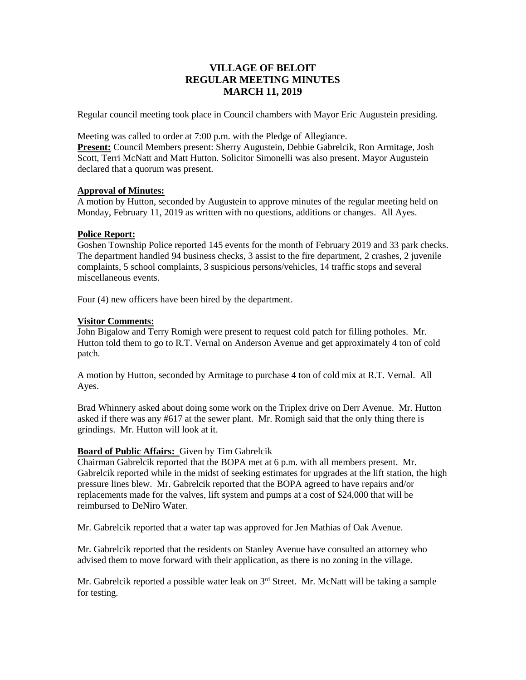# **VILLAGE OF BELOIT REGULAR MEETING MINUTES MARCH 11, 2019**

Regular council meeting took place in Council chambers with Mayor Eric Augustein presiding.

Meeting was called to order at 7:00 p.m. with the Pledge of Allegiance.

**Present:** Council Members present: Sherry Augustein, Debbie Gabrelcik, Ron Armitage, Josh Scott, Terri McNatt and Matt Hutton. Solicitor Simonelli was also present. Mayor Augustein declared that a quorum was present.

### **Approval of Minutes:**

A motion by Hutton, seconded by Augustein to approve minutes of the regular meeting held on Monday, February 11, 2019 as written with no questions, additions or changes. All Ayes.

### **Police Report:**

Goshen Township Police reported 145 events for the month of February 2019 and 33 park checks. The department handled 94 business checks, 3 assist to the fire department, 2 crashes, 2 juvenile complaints, 5 school complaints, 3 suspicious persons/vehicles, 14 traffic stops and several miscellaneous events.

Four (4) new officers have been hired by the department.

# **Visitor Comments:**

John Bigalow and Terry Romigh were present to request cold patch for filling potholes. Mr. Hutton told them to go to R.T. Vernal on Anderson Avenue and get approximately 4 ton of cold patch.

A motion by Hutton, seconded by Armitage to purchase 4 ton of cold mix at R.T. Vernal. All Ayes.

Brad Whinnery asked about doing some work on the Triplex drive on Derr Avenue. Mr. Hutton asked if there was any #617 at the sewer plant. Mr. Romigh said that the only thing there is grindings. Mr. Hutton will look at it.

# **Board of Public Affairs:** Given by Tim Gabrelcik

Chairman Gabrelcik reported that the BOPA met at 6 p.m. with all members present. Mr. Gabrelcik reported while in the midst of seeking estimates for upgrades at the lift station, the high pressure lines blew. Mr. Gabrelcik reported that the BOPA agreed to have repairs and/or replacements made for the valves, lift system and pumps at a cost of \$24,000 that will be reimbursed to DeNiro Water.

Mr. Gabrelcik reported that a water tap was approved for Jen Mathias of Oak Avenue.

Mr. Gabrelcik reported that the residents on Stanley Avenue have consulted an attorney who advised them to move forward with their application, as there is no zoning in the village.

Mr. Gabrelcik reported a possible water leak on  $3<sup>rd</sup>$  Street. Mr. McNatt will be taking a sample for testing.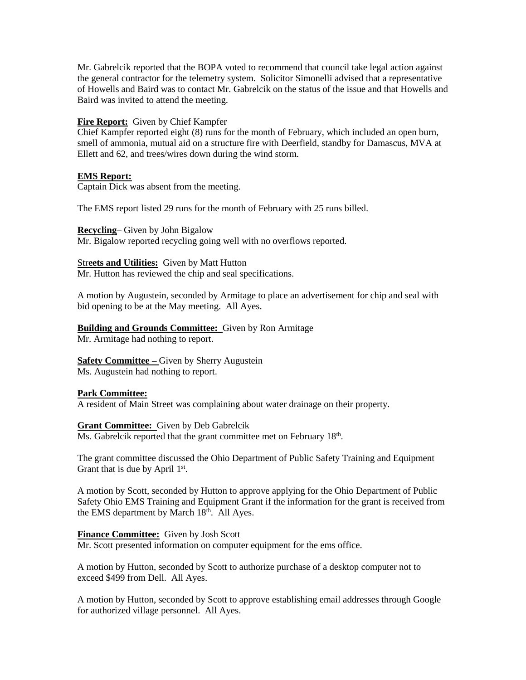Mr. Gabrelcik reported that the BOPA voted to recommend that council take legal action against the general contractor for the telemetry system. Solicitor Simonelli advised that a representative of Howells and Baird was to contact Mr. Gabrelcik on the status of the issue and that Howells and Baird was invited to attend the meeting.

### **Fire Report:** Given by Chief Kampfer

Chief Kampfer reported eight (8) runs for the month of February, which included an open burn, smell of ammonia, mutual aid on a structure fire with Deerfield, standby for Damascus, MVA at Ellett and 62, and trees/wires down during the wind storm.

## **EMS Report:**

Captain Dick was absent from the meeting.

The EMS report listed 29 runs for the month of February with 25 runs billed.

**Recycling**– Given by John Bigalow

Mr. Bigalow reported recycling going well with no overflows reported.

#### Str**eets and Utilities:** Given by Matt Hutton

Mr. Hutton has reviewed the chip and seal specifications.

A motion by Augustein, seconded by Armitage to place an advertisement for chip and seal with bid opening to be at the May meeting. All Ayes.

# **Building and Grounds Committee:** Given by Ron Armitage

Mr. Armitage had nothing to report.

#### **Safety Committee –** Given by Sherry Augustein Ms. Augustein had nothing to report.

# **Park Committee:**

A resident of Main Street was complaining about water drainage on their property.

#### **Grant Committee:** Given by Deb Gabrelcik

Ms. Gabrelcik reported that the grant committee met on February  $18<sup>th</sup>$ .

The grant committee discussed the Ohio Department of Public Safety Training and Equipment Grant that is due by April  $1<sup>st</sup>$ .

A motion by Scott, seconded by Hutton to approve applying for the Ohio Department of Public Safety Ohio EMS Training and Equipment Grant if the information for the grant is received from the EMS department by March  $18<sup>th</sup>$ . All Ayes.

**Finance Committee:** Given by Josh Scott

Mr. Scott presented information on computer equipment for the ems office.

A motion by Hutton, seconded by Scott to authorize purchase of a desktop computer not to exceed \$499 from Dell. All Ayes.

A motion by Hutton, seconded by Scott to approve establishing email addresses through Google for authorized village personnel. All Ayes.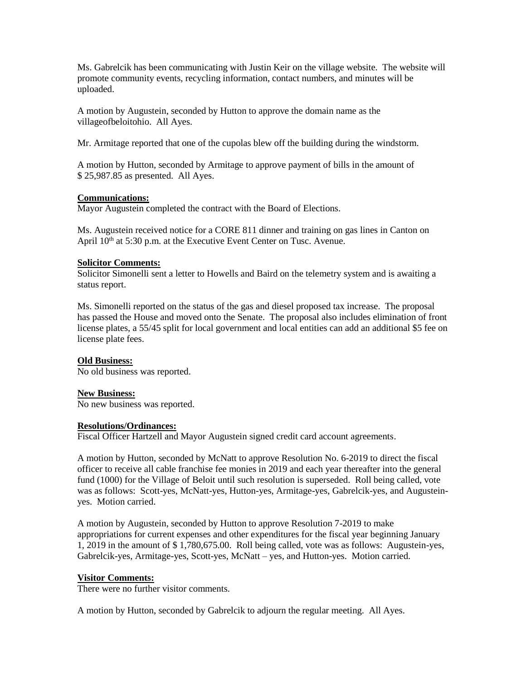Ms. Gabrelcik has been communicating with Justin Keir on the village website. The website will promote community events, recycling information, contact numbers, and minutes will be uploaded.

A motion by Augustein, seconded by Hutton to approve the domain name as the villageofbeloitohio. All Ayes.

Mr. Armitage reported that one of the cupolas blew off the building during the windstorm.

A motion by Hutton, seconded by Armitage to approve payment of bills in the amount of \$ 25,987.85 as presented. All Ayes.

### **Communications:**

Mayor Augustein completed the contract with the Board of Elections.

Ms. Augustein received notice for a CORE 811 dinner and training on gas lines in Canton on April  $10^{th}$  at 5:30 p.m. at the Executive Event Center on Tusc. Avenue.

### **Solicitor Comments:**

Solicitor Simonelli sent a letter to Howells and Baird on the telemetry system and is awaiting a status report.

Ms. Simonelli reported on the status of the gas and diesel proposed tax increase. The proposal has passed the House and moved onto the Senate. The proposal also includes elimination of front license plates, a 55/45 split for local government and local entities can add an additional \$5 fee on license plate fees.

# **Old Business:**

No old business was reported.

#### **New Business:**

No new business was reported.

#### **Resolutions/Ordinances:**

Fiscal Officer Hartzell and Mayor Augustein signed credit card account agreements.

A motion by Hutton, seconded by McNatt to approve Resolution No. 6-2019 to direct the fiscal officer to receive all cable franchise fee monies in 2019 and each year thereafter into the general fund (1000) for the Village of Beloit until such resolution is superseded. Roll being called, vote was as follows: Scott-yes, McNatt-yes, Hutton-yes, Armitage-yes, Gabrelcik-yes, and Augusteinyes. Motion carried.

A motion by Augustein, seconded by Hutton to approve Resolution 7-2019 to make appropriations for current expenses and other expenditures for the fiscal year beginning January 1, 2019 in the amount of \$ 1,780,675.00. Roll being called, vote was as follows: Augustein-yes, Gabrelcik-yes, Armitage-yes, Scott-yes, McNatt – yes, and Hutton-yes. Motion carried.

#### **Visitor Comments:**

There were no further visitor comments.

A motion by Hutton, seconded by Gabrelcik to adjourn the regular meeting. All Ayes.